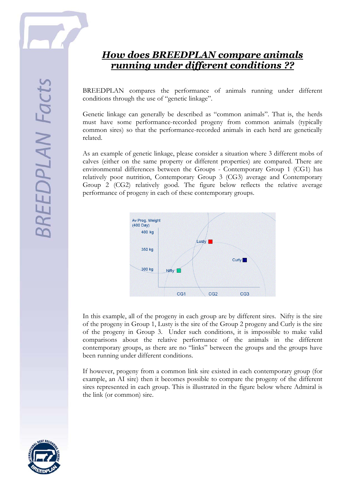

## *How does BREEDPLAN compare animals running under different conditions ??*

BREEDPLAN compares the performance of animals running under different conditions through the use of "genetic linkage".

Genetic linkage can generally be described as "common animals". That is, the herds must have some performance-recorded progeny from common animals (typically common sires) so that the performance-recorded animals in each herd are genetically related.

As an example of genetic linkage, please consider a situation where 3 different mobs of calves (either on the same property or different properties) are compared. There are environmental differences between the Groups - Contemporary Group 1 (CG1) has relatively poor nutrition, Contemporary Group 3 (CG3) average and Contemporary Group 2 (CG2) relatively good. The figure below reflects the relative average performance of progeny in each of these contemporary groups.



In this example, all of the progeny in each group are by different sires. Nifty is the sire of the progeny in Group 1, Lusty is the sire of the Group 2 progeny and Curly is the sire of the progeny in Group 3. Under such conditions, it is impossible to make valid comparisons about the relative performance of the animals in the different contemporary groups, as there are no "links" between the groups and the groups have been running under different conditions.

If however, progeny from a common link sire existed in each contemporary group (for example, an AI sire) then it becomes possible to compare the progeny of the different sires represented in each group. This is illustrated in the figure below where Admiral is the link (or common) sire.

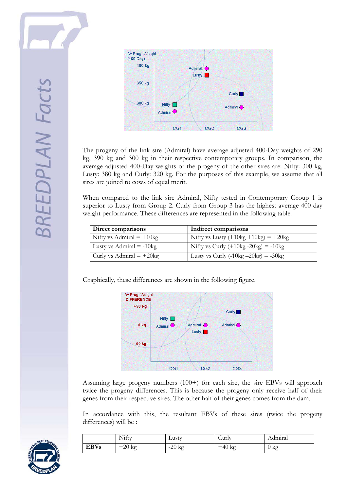

The progeny of the link sire (Admiral) have average adjusted 400-Day weights of 290 kg, 390 kg and 300 kg in their respective contemporary groups. In comparison, the average adjusted 400-Day weights of the progeny of the other sires are: Nifty: 300 kg, Lusty: 380 kg and Curly: 320 kg. For the purposes of this example, we assume that all sires are joined to cows of equal merit.

When compared to the link sire Admiral, Nifty tested in Contemporary Group 1 is superior to Lusty from Group 2. Curly from Group 3 has the highest average 400 day weight performance. These differences are represented in the following table.

| Direct comparisons                | Indirect comparisons                                         |  |
|-----------------------------------|--------------------------------------------------------------|--|
| Nifty vs Admiral $= +10$ kg       | Nifty vs Lusty $(+10\text{kg} + 10\text{kg}) = +20\text{kg}$ |  |
| Lusty vs Admiral $= -10\text{kg}$ | Nifty vs Curly $(+10\text{kg} - 20\text{kg}) = -10\text{kg}$ |  |
| Curly vs Admiral $= +20$ kg       | Lusty vs Curly $(-10\text{kg} - 20\text{kg}) = -30\text{kg}$ |  |

Graphically, these differences are shown in the following figure.



Assuming large progeny numbers (100+) for each sire, the sire EBVs will approach twice the progeny differences. This is because the progeny only receive half of their genes from their respective sires. The other half of their genes comes from the dam.

In accordance with this, the resultant EBVs of these sires (twice the progeny differences) will be :

|             | Nifty    | Lusty    | $_{\rm{curlv}}$ | Admıral        |
|-------------|----------|----------|-----------------|----------------|
| <b>EBVs</b> | $+20$ kg | $-20$ kg | $+40$ kg        | $0 \text{ kg}$ |